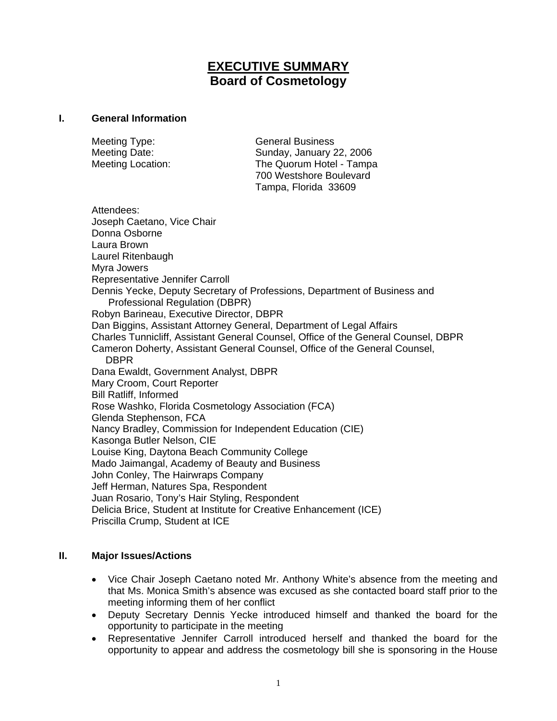# **EXECUTIVE SUMMARY Board of Cosmetology**

#### **I. General Information**

Meeting Type: General Business

Meeting Date: Sunday, January 22, 2006 Meeting Location: The Quorum Hotel - Tampa 700 Westshore Boulevard Tampa, Florida 33609

Attendees: Joseph Caetano, Vice Chair Donna Osborne Laura Brown Laurel Ritenbaugh Myra Jowers Representative Jennifer Carroll Dennis Yecke, Deputy Secretary of Professions, Department of Business and Professional Regulation (DBPR) Robyn Barineau, Executive Director, DBPR Dan Biggins, Assistant Attorney General, Department of Legal Affairs Charles Tunnicliff, Assistant General Counsel, Office of the General Counsel, DBPR Cameron Doherty, Assistant General Counsel, Office of the General Counsel, DBPR Dana Ewaldt, Government Analyst, DBPR Mary Croom, Court Reporter Bill Ratliff, Informed Rose Washko, Florida Cosmetology Association (FCA) Glenda Stephenson, FCA Nancy Bradley, Commission for Independent Education (CIE) Kasonga Butler Nelson, CIE Louise King, Daytona Beach Community College Mado Jaimangal, Academy of Beauty and Business John Conley, The Hairwraps Company Jeff Herman, Natures Spa, Respondent Juan Rosario, Tony's Hair Styling, Respondent Delicia Brice, Student at Institute for Creative Enhancement (ICE) Priscilla Crump, Student at ICE

### **II. Major Issues/Actions**

- Vice Chair Joseph Caetano noted Mr. Anthony White's absence from the meeting and that Ms. Monica Smith's absence was excused as she contacted board staff prior to the meeting informing them of her conflict
- Deputy Secretary Dennis Yecke introduced himself and thanked the board for the opportunity to participate in the meeting
- Representative Jennifer Carroll introduced herself and thanked the board for the opportunity to appear and address the cosmetology bill she is sponsoring in the House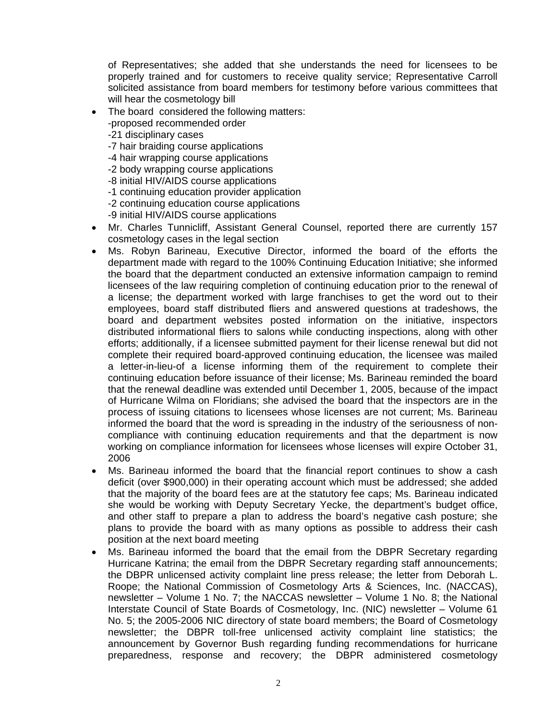of Representatives; she added that she understands the need for licensees to be properly trained and for customers to receive quality service; Representative Carroll solicited assistance from board members for testimony before various committees that will hear the cosmetology bill

- The board considered the following matters:
	- -proposed recommended order
	- -21 disciplinary cases
	- -7 hair braiding course applications
	- -4 hair wrapping course applications
	- -2 body wrapping course applications
	- -8 initial HIV/AIDS course applications
	- -1 continuing education provider application
	- -2 continuing education course applications
	- -9 initial HIV/AIDS course applications
- Mr. Charles Tunnicliff, Assistant General Counsel, reported there are currently 157 cosmetology cases in the legal section
- Ms. Robyn Barineau, Executive Director, informed the board of the efforts the department made with regard to the 100% Continuing Education Initiative; she informed the board that the department conducted an extensive information campaign to remind licensees of the law requiring completion of continuing education prior to the renewal of a license; the department worked with large franchises to get the word out to their employees, board staff distributed fliers and answered questions at tradeshows, the board and department websites posted information on the initiative, inspectors distributed informational fliers to salons while conducting inspections, along with other efforts; additionally, if a licensee submitted payment for their license renewal but did not complete their required board-approved continuing education, the licensee was mailed a letter-in-lieu-of a license informing them of the requirement to complete their continuing education before issuance of their license; Ms. Barineau reminded the board that the renewal deadline was extended until December 1, 2005, because of the impact of Hurricane Wilma on Floridians; she advised the board that the inspectors are in the process of issuing citations to licensees whose licenses are not current; Ms. Barineau informed the board that the word is spreading in the industry of the seriousness of noncompliance with continuing education requirements and that the department is now working on compliance information for licensees whose licenses will expire October 31, 2006
- Ms. Barineau informed the board that the financial report continues to show a cash deficit (over \$900,000) in their operating account which must be addressed; she added that the majority of the board fees are at the statutory fee caps; Ms. Barineau indicated she would be working with Deputy Secretary Yecke, the department's budget office, and other staff to prepare a plan to address the board's negative cash posture; she plans to provide the board with as many options as possible to address their cash position at the next board meeting
- Ms. Barineau informed the board that the email from the DBPR Secretary regarding Hurricane Katrina; the email from the DBPR Secretary regarding staff announcements; the DBPR unlicensed activity complaint line press release; the letter from Deborah L. Roope; the National Commission of Cosmetology Arts & Sciences, Inc. (NACCAS), newsletter – Volume 1 No. 7; the NACCAS newsletter – Volume 1 No. 8; the National Interstate Council of State Boards of Cosmetology, Inc. (NIC) newsletter – Volume 61 No. 5; the 2005-2006 NIC directory of state board members; the Board of Cosmetology newsletter; the DBPR toll-free unlicensed activity complaint line statistics; the announcement by Governor Bush regarding funding recommendations for hurricane preparedness, response and recovery; the DBPR administered cosmetology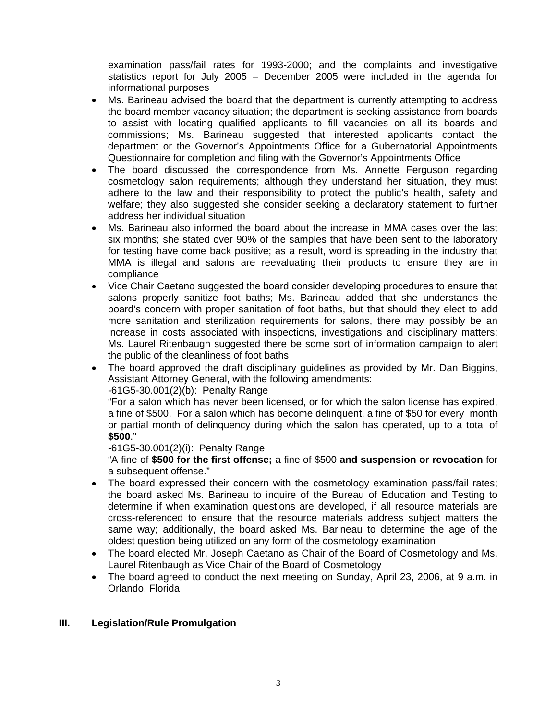examination pass/fail rates for 1993-2000; and the complaints and investigative statistics report for July 2005 – December 2005 were included in the agenda for informational purposes

- Ms. Barineau advised the board that the department is currently attempting to address the board member vacancy situation; the department is seeking assistance from boards to assist with locating qualified applicants to fill vacancies on all its boards and commissions; Ms. Barineau suggested that interested applicants contact the department or the Governor's Appointments Office for a Gubernatorial Appointments Questionnaire for completion and filing with the Governor's Appointments Office
- The board discussed the correspondence from Ms. Annette Ferguson regarding cosmetology salon requirements; although they understand her situation, they must adhere to the law and their responsibility to protect the public's health, safety and welfare; they also suggested she consider seeking a declaratory statement to further address her individual situation
- Ms. Barineau also informed the board about the increase in MMA cases over the last six months; she stated over 90% of the samples that have been sent to the laboratory for testing have come back positive; as a result, word is spreading in the industry that MMA is illegal and salons are reevaluating their products to ensure they are in compliance
- Vice Chair Caetano suggested the board consider developing procedures to ensure that salons properly sanitize foot baths; Ms. Barineau added that she understands the board's concern with proper sanitation of foot baths, but that should they elect to add more sanitation and sterilization requirements for salons, there may possibly be an increase in costs associated with inspections, investigations and disciplinary matters; Ms. Laurel Ritenbaugh suggested there be some sort of information campaign to alert the public of the cleanliness of foot baths
- The board approved the draft disciplinary guidelines as provided by Mr. Dan Biggins, Assistant Attorney General, with the following amendments:

-61G5-30.001(2)(b): Penalty Range

"For a salon which has never been licensed, or for which the salon license has expired, a fine of \$500. For a salon which has become delinquent, a fine of \$50 for every month or partial month of delinquency during which the salon has operated, up to a total of **\$500**."

-61G5-30.001(2)(i): Penalty Range

"A fine of **\$500 for the first offense;** a fine of \$500 **and suspension or revocation** for a subsequent offense."

- The board expressed their concern with the cosmetology examination pass/fail rates; the board asked Ms. Barineau to inquire of the Bureau of Education and Testing to determine if when examination questions are developed, if all resource materials are cross-referenced to ensure that the resource materials address subject matters the same way; additionally, the board asked Ms. Barineau to determine the age of the oldest question being utilized on any form of the cosmetology examination
- The board elected Mr. Joseph Caetano as Chair of the Board of Cosmetology and Ms. Laurel Ritenbaugh as Vice Chair of the Board of Cosmetology
- The board agreed to conduct the next meeting on Sunday, April 23, 2006, at 9 a.m. in Orlando, Florida

### **III. Legislation/Rule Promulgation**